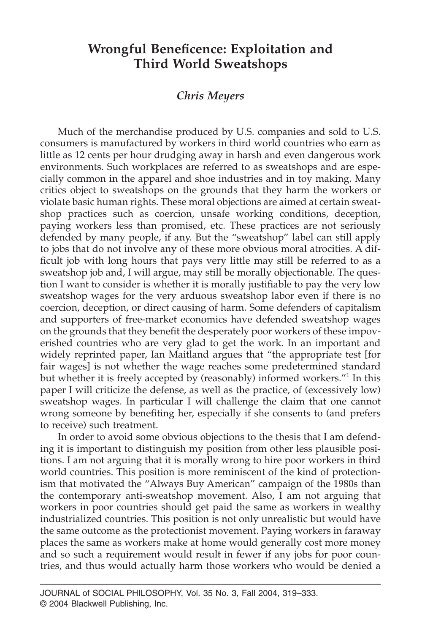# **Wrongful Beneficence: Exploitation and Third World Sweatshops**

## *Chris Meyers*

Much of the merchandise produced by U.S. companies and sold to U.S. consumers is manufactured by workers in third world countries who earn as little as 12 cents per hour drudging away in harsh and even dangerous work environments. Such workplaces are referred to as sweatshops and are especially common in the apparel and shoe industries and in toy making. Many critics object to sweatshops on the grounds that they harm the workers or violate basic human rights. These moral objections are aimed at certain sweatshop practices such as coercion, unsafe working conditions, deception, paying workers less than promised, etc. These practices are not seriously defended by many people, if any. But the "sweatshop" label can still apply to jobs that do not involve any of these more obvious moral atrocities. A difficult job with long hours that pays very little may still be referred to as a sweatshop job and, I will argue, may still be morally objectionable. The question I want to consider is whether it is morally justifiable to pay the very low sweatshop wages for the very arduous sweatshop labor even if there is no coercion, deception, or direct causing of harm. Some defenders of capitalism and supporters of free-market economics have defended sweatshop wages on the grounds that they benefit the desperately poor workers of these impoverished countries who are very glad to get the work. In an important and widely reprinted paper, Ian Maitland argues that "the appropriate test [for fair wages] is not whether the wage reaches some predetermined standard but whether it is freely accepted by (reasonably) informed workers."1 In this paper I will criticize the defense, as well as the practice, of (excessively low) sweatshop wages. In particular I will challenge the claim that one cannot wrong someone by benefiting her, especially if she consents to (and prefers to receive) such treatment.

In order to avoid some obvious objections to the thesis that I am defending it is important to distinguish my position from other less plausible positions. I am not arguing that it is morally wrong to hire poor workers in third world countries. This position is more reminiscent of the kind of protectionism that motivated the "Always Buy American" campaign of the 1980s than the contemporary anti-sweatshop movement. Also, I am not arguing that workers in poor countries should get paid the same as workers in wealthy industrialized countries. This position is not only unrealistic but would have the same outcome as the protectionist movement. Paying workers in faraway places the same as workers make at home would generally cost more money and so such a requirement would result in fewer if any jobs for poor countries, and thus would actually harm those workers who would be denied a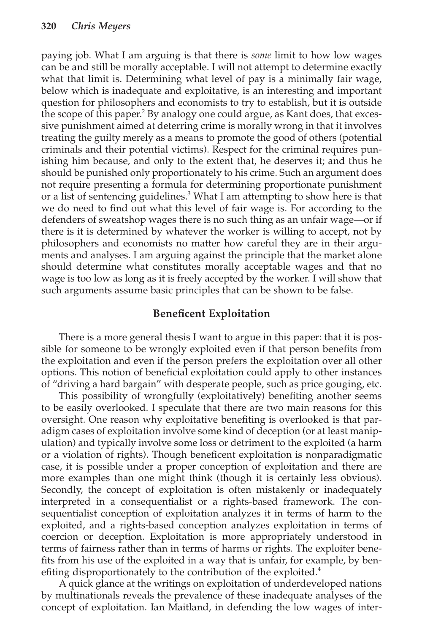paying job. What I am arguing is that there is *some* limit to how low wages can be and still be morally acceptable. I will not attempt to determine exactly what that limit is. Determining what level of pay is a minimally fair wage, below which is inadequate and exploitative, is an interesting and important question for philosophers and economists to try to establish, but it is outside the scope of this paper.<sup>2</sup> By analogy one could argue, as Kant does, that excessive punishment aimed at deterring crime is morally wrong in that it involves treating the guilty merely as a means to promote the good of others (potential criminals and their potential victims). Respect for the criminal requires punishing him because, and only to the extent that, he deserves it; and thus he should be punished only proportionately to his crime. Such an argument does not require presenting a formula for determining proportionate punishment or a list of sentencing guidelines.<sup>3</sup> What I am attempting to show here is that we do need to find out what this level of fair wage is. For according to the defenders of sweatshop wages there is no such thing as an unfair wage—or if there is it is determined by whatever the worker is willing to accept, not by philosophers and economists no matter how careful they are in their arguments and analyses. I am arguing against the principle that the market alone should determine what constitutes morally acceptable wages and that no wage is too low as long as it is freely accepted by the worker. I will show that such arguments assume basic principles that can be shown to be false.

#### **Beneficent Exploitation**

There is a more general thesis I want to argue in this paper: that it is possible for someone to be wrongly exploited even if that person benefits from the exploitation and even if the person prefers the exploitation over all other options. This notion of beneficial exploitation could apply to other instances of "driving a hard bargain" with desperate people, such as price gouging, etc.

This possibility of wrongfully (exploitatively) benefiting another seems to be easily overlooked. I speculate that there are two main reasons for this oversight. One reason why exploitative benefiting is overlooked is that paradigm cases of exploitation involve some kind of deception (or at least manipulation) and typically involve some loss or detriment to the exploited (a harm or a violation of rights). Though beneficent exploitation is nonparadigmatic case, it is possible under a proper conception of exploitation and there are more examples than one might think (though it is certainly less obvious). Secondly, the concept of exploitation is often mistakenly or inadequately interpreted in a consequentialist or a rights-based framework. The consequentialist conception of exploitation analyzes it in terms of harm to the exploited, and a rights-based conception analyzes exploitation in terms of coercion or deception. Exploitation is more appropriately understood in terms of fairness rather than in terms of harms or rights. The exploiter benefits from his use of the exploited in a way that is unfair, for example, by benefiting disproportionately to the contribution of the exploited.<sup>4</sup>

A quick glance at the writings on exploitation of underdeveloped nations by multinationals reveals the prevalence of these inadequate analyses of the concept of exploitation. Ian Maitland, in defending the low wages of inter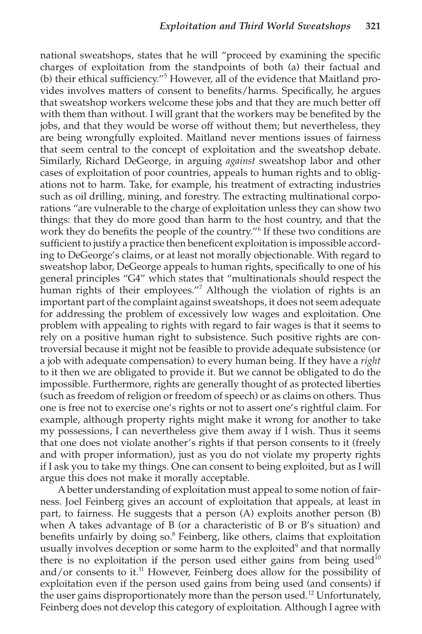national sweatshops, states that he will "proceed by examining the specific charges of exploitation from the standpoints of both (a) their factual and (b) their ethical sufficiency."<sup>5</sup> However, all of the evidence that Maitland provides involves matters of consent to benefits/harms. Specifically, he argues that sweatshop workers welcome these jobs and that they are much better off with them than without. I will grant that the workers may be benefited by the jobs, and that they would be worse off without them; but nevertheless, they are being wrongfully exploited. Maitland never mentions issues of fairness that seem central to the concept of exploitation and the sweatshop debate. Similarly, Richard DeGeorge, in arguing *against* sweatshop labor and other cases of exploitation of poor countries, appeals to human rights and to obligations not to harm. Take, for example, his treatment of extracting industries such as oil drilling, mining, and forestry. The extracting multinational corporations "are vulnerable to the charge of exploitation unless they can show two things: that they do more good than harm to the host country, and that the work they do benefits the people of the country."<sup>6</sup> If these two conditions are sufficient to justify a practice then beneficent exploitation is impossible according to DeGeorge's claims, or at least not morally objectionable. With regard to sweatshop labor, DeGeorge appeals to human rights, specifically to one of his general principles "G4" which states that "multinationals should respect the human rights of their employees."<sup>7</sup> Although the violation of rights is an important part of the complaint against sweatshops, it does not seem adequate for addressing the problem of excessively low wages and exploitation. One problem with appealing to rights with regard to fair wages is that it seems to rely on a positive human right to subsistence. Such positive rights are controversial because it might not be feasible to provide adequate subsistence (or a job with adequate compensation) to every human being. If they have a *right* to it then we are obligated to provide it. But we cannot be obligated to do the impossible. Furthermore, rights are generally thought of as protected liberties (such as freedom of religion or freedom of speech) or as claims on others. Thus one is free not to exercise one's rights or not to assert one's rightful claim. For example, although property rights might make it wrong for another to take my possessions, I can nevertheless give them away if I wish. Thus it seems that one does not violate another's rights if that person consents to it (freely and with proper information), just as you do not violate my property rights if I ask you to take my things. One can consent to being exploited, but as I will argue this does not make it morally acceptable.

Abetter understanding of exploitation must appeal to some notion of fairness. Joel Feinberg gives an account of exploitation that appeals, at least in part, to fairness. He suggests that a person (A) exploits another person (B) when A takes advantage of B (or a characteristic of B or B's situation) and benefits unfairly by doing so.<sup>8</sup> Feinberg, like others, claims that exploitation usually involves deception or some harm to the exploited<sup>9</sup> and that normally there is no exploitation if the person used either gains from being used<sup>10</sup> and/or consents to it.<sup>11</sup> However, Feinberg does allow for the possibility of exploitation even if the person used gains from being used (and consents) if the user gains disproportionately more than the person used.<sup>12</sup> Unfortunately, Feinberg does not develop this category of exploitation. Although I agree with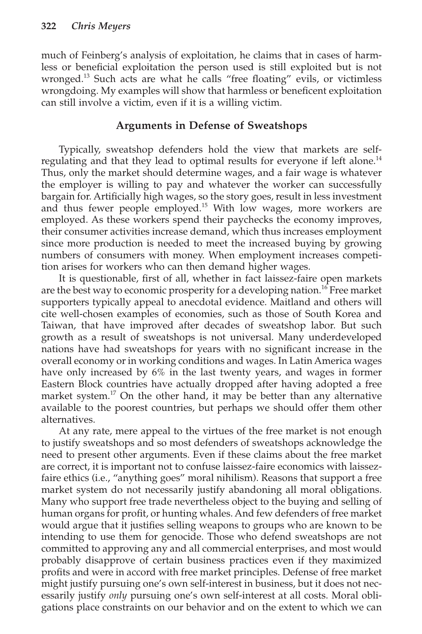much of Feinberg's analysis of exploitation, he claims that in cases of harmless or beneficial exploitation the person used is still exploited but is not wronged.<sup>13</sup> Such acts are what he calls "free floating" evils, or victimless wrongdoing. My examples will show that harmless or beneficent exploitation can still involve a victim, even if it is a willing victim.

#### **Arguments in Defense of Sweatshops**

Typically, sweatshop defenders hold the view that markets are selfregulating and that they lead to optimal results for everyone if left alone.<sup>14</sup> Thus, only the market should determine wages, and a fair wage is whatever the employer is willing to pay and whatever the worker can successfully bargain for. Artificially high wages, so the story goes, result in less investment and thus fewer people employed.<sup>15</sup> With low wages, more workers are employed. As these workers spend their paychecks the economy improves, their consumer activities increase demand, which thus increases employment since more production is needed to meet the increased buying by growing numbers of consumers with money. When employment increases competition arises for workers who can then demand higher wages.

It is questionable, first of all, whether in fact laissez-faire open markets are the best way to economic prosperity for a developing nation.<sup>16</sup> Free market supporters typically appeal to anecdotal evidence. Maitland and others will cite well-chosen examples of economies, such as those of South Korea and Taiwan, that have improved after decades of sweatshop labor. But such growth as a result of sweatshops is not universal. Many underdeveloped nations have had sweatshops for years with no significant increase in the overall economy or in working conditions and wages. In Latin America wages have only increased by 6% in the last twenty years, and wages in former Eastern Block countries have actually dropped after having adopted a free market system.<sup>17</sup> On the other hand, it may be better than any alternative available to the poorest countries, but perhaps we should offer them other alternatives.

At any rate, mere appeal to the virtues of the free market is not enough to justify sweatshops and so most defenders of sweatshops acknowledge the need to present other arguments. Even if these claims about the free market are correct, it is important not to confuse laissez-faire economics with laissezfaire ethics (i.e., "anything goes" moral nihilism). Reasons that support a free market system do not necessarily justify abandoning all moral obligations. Many who support free trade nevertheless object to the buying and selling of human organs for profit, or hunting whales. And few defenders of free market would argue that it justifies selling weapons to groups who are known to be intending to use them for genocide. Those who defend sweatshops are not committed to approving any and all commercial enterprises, and most would probably disapprove of certain business practices even if they maximized profits and were in accord with free market principles. Defense of free market might justify pursuing one's own self-interest in business, but it does not necessarily justify *only* pursuing one's own self-interest at all costs. Moral obligations place constraints on our behavior and on the extent to which we can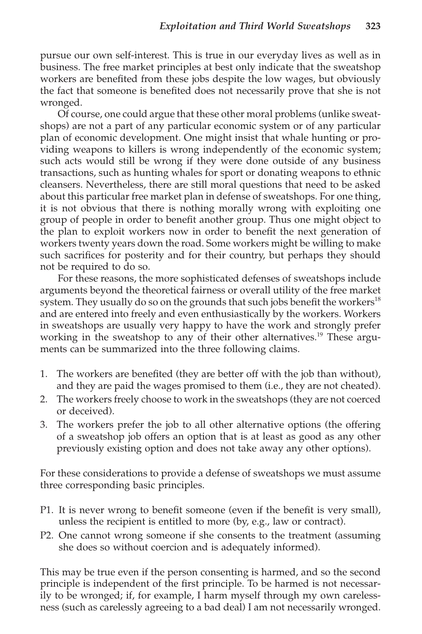pursue our own self-interest. This is true in our everyday lives as well as in business. The free market principles at best only indicate that the sweatshop workers are benefited from these jobs despite the low wages, but obviously the fact that someone is benefited does not necessarily prove that she is not wronged.

Of course, one could argue that these other moral problems (unlike sweatshops) are not a part of any particular economic system or of any particular plan of economic development. One might insist that whale hunting or providing weapons to killers is wrong independently of the economic system; such acts would still be wrong if they were done outside of any business transactions, such as hunting whales for sport or donating weapons to ethnic cleansers. Nevertheless, there are still moral questions that need to be asked about this particular free market plan in defense of sweatshops. For one thing, it is not obvious that there is nothing morally wrong with exploiting one group of people in order to benefit another group. Thus one might object to the plan to exploit workers now in order to benefit the next generation of workers twenty years down the road. Some workers might be willing to make such sacrifices for posterity and for their country, but perhaps they should not be required to do so.

For these reasons, the more sophisticated defenses of sweatshops include arguments beyond the theoretical fairness or overall utility of the free market system. They usually do so on the grounds that such jobs benefit the workers<sup>18</sup> and are entered into freely and even enthusiastically by the workers. Workers in sweatshops are usually very happy to have the work and strongly prefer working in the sweatshop to any of their other alternatives.<sup>19</sup> These arguments can be summarized into the three following claims.

- 1. The workers are benefited (they are better off with the job than without), and they are paid the wages promised to them (i.e., they are not cheated).
- 2. The workers freely choose to work in the sweatshops (they are not coerced or deceived).
- 3. The workers prefer the job to all other alternative options (the offering of a sweatshop job offers an option that is at least as good as any other previously existing option and does not take away any other options).

For these considerations to provide a defense of sweatshops we must assume three corresponding basic principles.

- P1. It is never wrong to benefit someone (even if the benefit is very small), unless the recipient is entitled to more (by, e.g., law or contract).
- P2. One cannot wrong someone if she consents to the treatment (assuming she does so without coercion and is adequately informed).

This may be true even if the person consenting is harmed, and so the second principle is independent of the first principle. To be harmed is not necessarily to be wronged; if, for example, I harm myself through my own carelessness (such as carelessly agreeing to a bad deal) I am not necessarily wronged.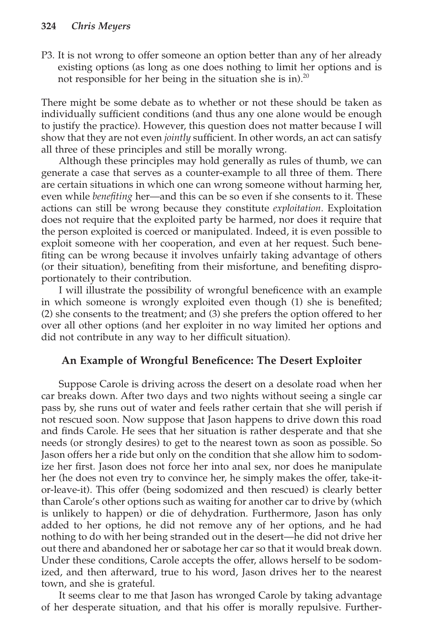P3. It is not wrong to offer someone an option better than any of her already existing options (as long as one does nothing to limit her options and is not responsible for her being in the situation she is in).<sup>20</sup>

There might be some debate as to whether or not these should be taken as individually sufficient conditions (and thus any one alone would be enough to justify the practice). However, this question does not matter because I will show that they are not even *jointly* sufficient. In other words, an act can satisfy all three of these principles and still be morally wrong.

Although these principles may hold generally as rules of thumb, we can generate a case that serves as a counter-example to all three of them. There are certain situations in which one can wrong someone without harming her, even while *benefiting* her—and this can be so even if she consents to it. These actions can still be wrong because they constitute *exploitation*. Exploitation does not require that the exploited party be harmed, nor does it require that the person exploited is coerced or manipulated. Indeed, it is even possible to exploit someone with her cooperation, and even at her request. Such benefiting can be wrong because it involves unfairly taking advantage of others (or their situation), benefiting from their misfortune, and benefiting disproportionately to their contribution.

I will illustrate the possibility of wrongful beneficence with an example in which someone is wrongly exploited even though (1) she is benefited; (2) she consents to the treatment; and (3) she prefers the option offered to her over all other options (and her exploiter in no way limited her options and did not contribute in any way to her difficult situation).

### **An Example of Wrongful Beneficence: The Desert Exploiter**

Suppose Carole is driving across the desert on a desolate road when her car breaks down. After two days and two nights without seeing a single car pass by, she runs out of water and feels rather certain that she will perish if not rescued soon. Now suppose that Jason happens to drive down this road and finds Carole. He sees that her situation is rather desperate and that she needs (or strongly desires) to get to the nearest town as soon as possible. So Jason offers her a ride but only on the condition that she allow him to sodomize her first. Jason does not force her into anal sex, nor does he manipulate her (he does not even try to convince her, he simply makes the offer, take-itor-leave-it). This offer (being sodomized and then rescued) is clearly better than Carole's other options such as waiting for another car to drive by (which is unlikely to happen) or die of dehydration. Furthermore, Jason has only added to her options, he did not remove any of her options, and he had nothing to do with her being stranded out in the desert—he did not drive her out there and abandoned her or sabotage her car so that it would break down. Under these conditions, Carole accepts the offer, allows herself to be sodomized, and then afterward, true to his word, Jason drives her to the nearest town, and she is grateful.

It seems clear to me that Jason has wronged Carole by taking advantage of her desperate situation, and that his offer is morally repulsive. Further-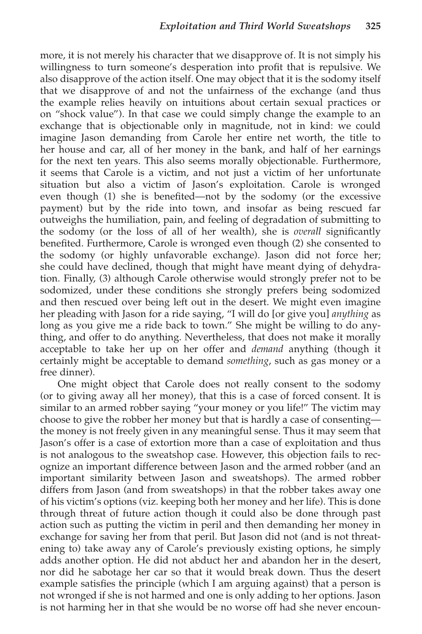more, it is not merely his character that we disapprove of. It is not simply his willingness to turn someone's desperation into profit that is repulsive. We also disapprove of the action itself. One may object that it is the sodomy itself that we disapprove of and not the unfairness of the exchange (and thus the example relies heavily on intuitions about certain sexual practices or on "shock value"). In that case we could simply change the example to an exchange that is objectionable only in magnitude, not in kind: we could imagine Jason demanding from Carole her entire net worth, the title to her house and car, all of her money in the bank, and half of her earnings for the next ten years. This also seems morally objectionable. Furthermore, it seems that Carole is a victim, and not just a victim of her unfortunate situation but also a victim of Jason's exploitation. Carole is wronged even though (1) she is benefited—not by the sodomy (or the excessive payment) but by the ride into town, and insofar as being rescued far outweighs the humiliation, pain, and feeling of degradation of submitting to the sodomy (or the loss of all of her wealth), she is *overall* significantly benefited. Furthermore, Carole is wronged even though (2) she consented to the sodomy (or highly unfavorable exchange). Jason did not force her; she could have declined, though that might have meant dying of dehydration. Finally, (3) although Carole otherwise would strongly prefer not to be sodomized, under these conditions she strongly prefers being sodomized and then rescued over being left out in the desert. We might even imagine her pleading with Jason for a ride saying, "I will do [or give you] *anything* as long as you give me a ride back to town." She might be willing to do anything, and offer to do anything. Nevertheless, that does not make it morally acceptable to take her up on her offer and *demand* anything (though it certainly might be acceptable to demand *something*, such as gas money or a free dinner).

One might object that Carole does not really consent to the sodomy (or to giving away all her money), that this is a case of forced consent. It is similar to an armed robber saying "your money or you life!" The victim may choose to give the robber her money but that is hardly a case of consenting the money is not freely given in any meaningful sense. Thus it may seem that Jason's offer is a case of extortion more than a case of exploitation and thus is not analogous to the sweatshop case. However, this objection fails to recognize an important difference between Jason and the armed robber (and an important similarity between Jason and sweatshops). The armed robber differs from Jason (and from sweatshops) in that the robber takes away one of his victim's options (viz. keeping both her money and her life). This is done through threat of future action though it could also be done through past action such as putting the victim in peril and then demanding her money in exchange for saving her from that peril. But Jason did not (and is not threatening to) take away any of Carole's previously existing options, he simply adds another option. He did not abduct her and abandon her in the desert, nor did he sabotage her car so that it would break down. Thus the desert example satisfies the principle (which I am arguing against) that a person is not wronged if she is not harmed and one is only adding to her options. Jason is not harming her in that she would be no worse off had she never encoun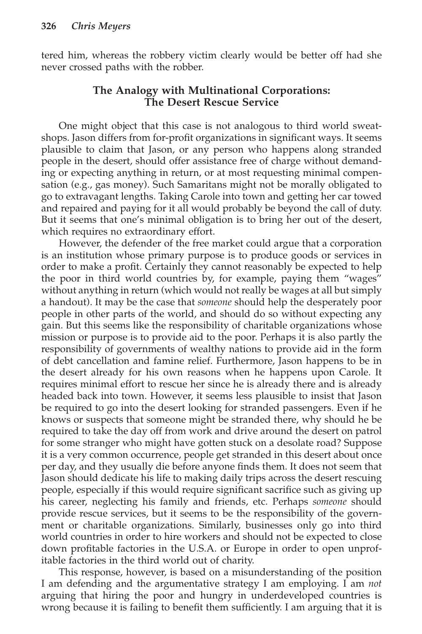tered him, whereas the robbery victim clearly would be better off had she never crossed paths with the robber.

#### **The Analogy with Multinational Corporations: The Desert Rescue Service**

One might object that this case is not analogous to third world sweatshops. Jason differs from for-profit organizations in significant ways. It seems plausible to claim that Jason, or any person who happens along stranded people in the desert, should offer assistance free of charge without demanding or expecting anything in return, or at most requesting minimal compensation (e.g., gas money). Such Samaritans might not be morally obligated to go to extravagant lengths. Taking Carole into town and getting her car towed and repaired and paying for it all would probably be beyond the call of duty. But it seems that one's minimal obligation is to bring her out of the desert, which requires no extraordinary effort.

However, the defender of the free market could argue that a corporation is an institution whose primary purpose is to produce goods or services in order to make a profit. Certainly they cannot reasonably be expected to help the poor in third world countries by, for example, paying them "wages" without anything in return (which would not really be wages at all but simply a handout). It may be the case that *someone* should help the desperately poor people in other parts of the world, and should do so without expecting any gain. But this seems like the responsibility of charitable organizations whose mission or purpose is to provide aid to the poor. Perhaps it is also partly the responsibility of governments of wealthy nations to provide aid in the form of debt cancellation and famine relief. Furthermore, Jason happens to be in the desert already for his own reasons when he happens upon Carole. It requires minimal effort to rescue her since he is already there and is already headed back into town. However, it seems less plausible to insist that Jason be required to go into the desert looking for stranded passengers. Even if he knows or suspects that someone might be stranded there, why should he be required to take the day off from work and drive around the desert on patrol for some stranger who might have gotten stuck on a desolate road? Suppose it is a very common occurrence, people get stranded in this desert about once per day, and they usually die before anyone finds them. It does not seem that Jason should dedicate his life to making daily trips across the desert rescuing people, especially if this would require significant sacrifice such as giving up his career, neglecting his family and friends, etc. Perhaps *someone* should provide rescue services, but it seems to be the responsibility of the government or charitable organizations. Similarly, businesses only go into third world countries in order to hire workers and should not be expected to close down profitable factories in the U.S.A. or Europe in order to open unprofitable factories in the third world out of charity.

This response, however, is based on a misunderstanding of the position I am defending and the argumentative strategy I am employing. I am *not* arguing that hiring the poor and hungry in underdeveloped countries is wrong because it is failing to benefit them sufficiently. I am arguing that it is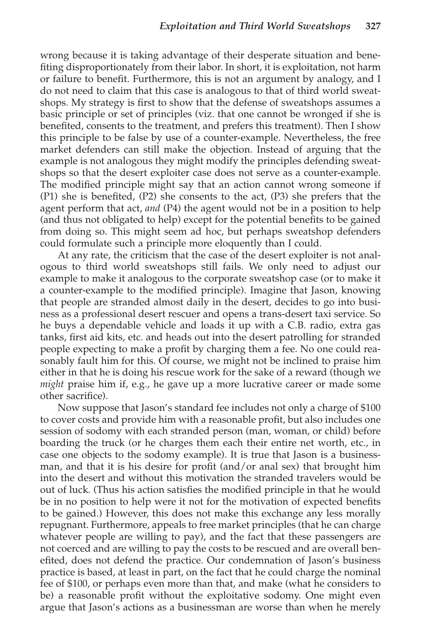wrong because it is taking advantage of their desperate situation and benefiting disproportionately from their labor. In short, it is exploitation, not harm or failure to benefit. Furthermore, this is not an argument by analogy, and I do not need to claim that this case is analogous to that of third world sweatshops. My strategy is first to show that the defense of sweatshops assumes a basic principle or set of principles (viz. that one cannot be wronged if she is benefited, consents to the treatment, and prefers this treatment). Then I show this principle to be false by use of a counter-example. Nevertheless, the free market defenders can still make the objection. Instead of arguing that the example is not analogous they might modify the principles defending sweatshops so that the desert exploiter case does not serve as a counter-example. The modified principle might say that an action cannot wrong someone if (P1) she is benefited, (P2) she consents to the act, (P3) she prefers that the agent perform that act, *and* (P4) the agent would not be in a position to help (and thus not obligated to help) except for the potential benefits to be gained from doing so. This might seem ad hoc, but perhaps sweatshop defenders could formulate such a principle more eloquently than I could.

At any rate, the criticism that the case of the desert exploiter is not analogous to third world sweatshops still fails. We only need to adjust our example to make it analogous to the corporate sweatshop case (or to make it a counter-example to the modified principle). Imagine that Jason, knowing that people are stranded almost daily in the desert, decides to go into business as a professional desert rescuer and opens a trans-desert taxi service. So he buys a dependable vehicle and loads it up with a C.B. radio, extra gas tanks, first aid kits, etc. and heads out into the desert patrolling for stranded people expecting to make a profit by charging them a fee. No one could reasonably fault him for this. Of course, we might not be inclined to praise him either in that he is doing his rescue work for the sake of a reward (though we *might* praise him if, e.g., he gave up a more lucrative career or made some other sacrifice).

Now suppose that Jason's standard fee includes not only a charge of \$100 to cover costs and provide him with a reasonable profit, but also includes one session of sodomy with each stranded person (man, woman, or child) before boarding the truck (or he charges them each their entire net worth, etc., in case one objects to the sodomy example). It is true that Jason is a businessman, and that it is his desire for profit (and/or anal sex) that brought him into the desert and without this motivation the stranded travelers would be out of luck. (Thus his action satisfies the modified principle in that he would be in no position to help were it not for the motivation of expected benefits to be gained.) However, this does not make this exchange any less morally repugnant. Furthermore, appeals to free market principles (that he can charge whatever people are willing to pay), and the fact that these passengers are not coerced and are willing to pay the costs to be rescued and are overall benefited, does not defend the practice. Our condemnation of Jason's business practice is based, at least in part, on the fact that he could charge the nominal fee of \$100, or perhaps even more than that, and make (what he considers to be) a reasonable profit without the exploitative sodomy. One might even argue that Jason's actions as a businessman are worse than when he merely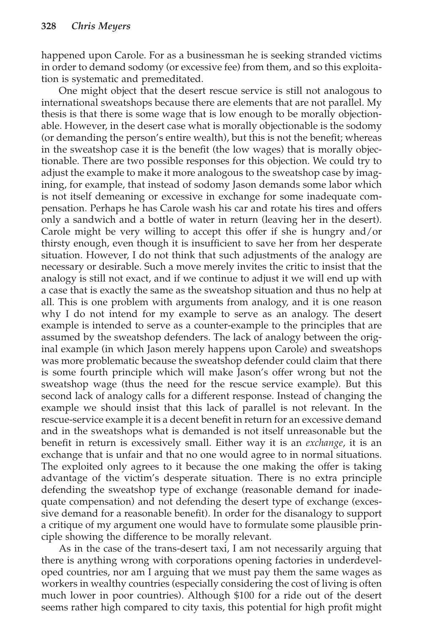happened upon Carole. For as a businessman he is seeking stranded victims in order to demand sodomy (or excessive fee) from them, and so this exploitation is systematic and premeditated.

One might object that the desert rescue service is still not analogous to international sweatshops because there are elements that are not parallel. My thesis is that there is some wage that is low enough to be morally objectionable. However, in the desert case what is morally objectionable is the sodomy (or demanding the person's entire wealth), but this is not the benefit; whereas in the sweatshop case it is the benefit (the low wages) that is morally objectionable. There are two possible responses for this objection. We could try to adjust the example to make it more analogous to the sweatshop case by imagining, for example, that instead of sodomy Jason demands some labor which is not itself demeaning or excessive in exchange for some inadequate compensation. Perhaps he has Carole wash his car and rotate his tires and offers only a sandwich and a bottle of water in return (leaving her in the desert). Carole might be very willing to accept this offer if she is hungry and/or thirsty enough, even though it is insufficient to save her from her desperate situation. However, I do not think that such adjustments of the analogy are necessary or desirable. Such a move merely invites the critic to insist that the analogy is still not exact, and if we continue to adjust it we will end up with a case that is exactly the same as the sweatshop situation and thus no help at all. This is one problem with arguments from analogy, and it is one reason why I do not intend for my example to serve as an analogy. The desert example is intended to serve as a counter-example to the principles that are assumed by the sweatshop defenders. The lack of analogy between the original example (in which Jason merely happens upon Carole) and sweatshops was more problematic because the sweatshop defender could claim that there is some fourth principle which will make Jason's offer wrong but not the sweatshop wage (thus the need for the rescue service example). But this second lack of analogy calls for a different response. Instead of changing the example we should insist that this lack of parallel is not relevant. In the rescue-service example it is a decent benefit in return for an excessive demand and in the sweatshops what is demanded is not itself unreasonable but the benefit in return is excessively small. Either way it is an *exchange*, it is an exchange that is unfair and that no one would agree to in normal situations. The exploited only agrees to it because the one making the offer is taking advantage of the victim's desperate situation. There is no extra principle defending the sweatshop type of exchange (reasonable demand for inadequate compensation) and not defending the desert type of exchange (excessive demand for a reasonable benefit). In order for the disanalogy to support a critique of my argument one would have to formulate some plausible principle showing the difference to be morally relevant.

As in the case of the trans-desert taxi, I am not necessarily arguing that there is anything wrong with corporations opening factories in underdeveloped countries, nor am I arguing that we must pay them the same wages as workers in wealthy countries (especially considering the cost of living is often much lower in poor countries). Although \$100 for a ride out of the desert seems rather high compared to city taxis, this potential for high profit might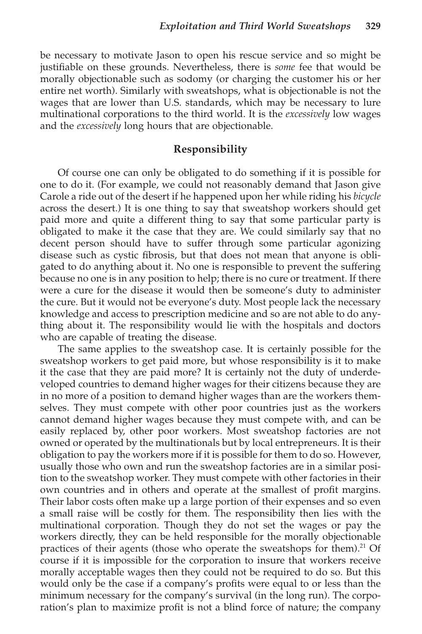be necessary to motivate Jason to open his rescue service and so might be justifiable on these grounds. Nevertheless, there is *some* fee that would be morally objectionable such as sodomy (or charging the customer his or her entire net worth). Similarly with sweatshops, what is objectionable is not the wages that are lower than U.S. standards, which may be necessary to lure multinational corporations to the third world. It is the *excessively* low wages and the *excessively* long hours that are objectionable.

#### **Responsibility**

Of course one can only be obligated to do something if it is possible for one to do it. (For example, we could not reasonably demand that Jason give Carole a ride out of the desert if he happened upon her while riding his *bicycle* across the desert.) It is one thing to say that sweatshop workers should get paid more and quite a different thing to say that some particular party is obligated to make it the case that they are. We could similarly say that no decent person should have to suffer through some particular agonizing disease such as cystic fibrosis, but that does not mean that anyone is obligated to do anything about it. No one is responsible to prevent the suffering because no one is in any position to help; there is no cure or treatment. If there were a cure for the disease it would then be someone's duty to administer the cure. But it would not be everyone's duty. Most people lack the necessary knowledge and access to prescription medicine and so are not able to do anything about it. The responsibility would lie with the hospitals and doctors who are capable of treating the disease.

The same applies to the sweatshop case. It is certainly possible for the sweatshop workers to get paid more, but whose responsibility is it to make it the case that they are paid more? It is certainly not the duty of underdeveloped countries to demand higher wages for their citizens because they are in no more of a position to demand higher wages than are the workers themselves. They must compete with other poor countries just as the workers cannot demand higher wages because they must compete with, and can be easily replaced by, other poor workers. Most sweatshop factories are not owned or operated by the multinationals but by local entrepreneurs. It is their obligation to pay the workers more if it is possible for them to do so. However, usually those who own and run the sweatshop factories are in a similar position to the sweatshop worker. They must compete with other factories in their own countries and in others and operate at the smallest of profit margins. Their labor costs often make up a large portion of their expenses and so even a small raise will be costly for them. The responsibility then lies with the multinational corporation. Though they do not set the wages or pay the workers directly, they can be held responsible for the morally objectionable practices of their agents (those who operate the sweatshops for them).<sup>21</sup> Of course if it is impossible for the corporation to insure that workers receive morally acceptable wages then they could not be required to do so. But this would only be the case if a company's profits were equal to or less than the minimum necessary for the company's survival (in the long run). The corporation's plan to maximize profit is not a blind force of nature; the company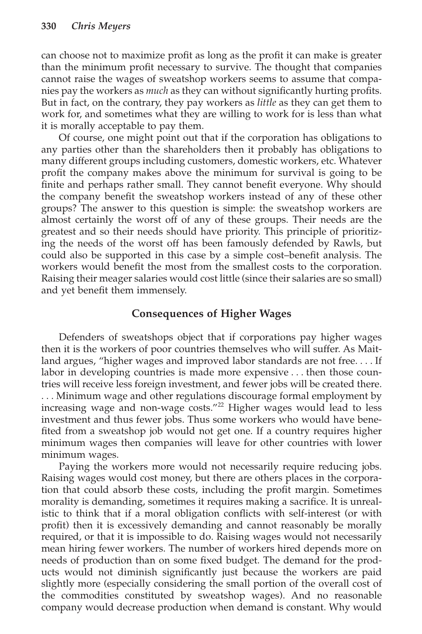can choose not to maximize profit as long as the profit it can make is greater than the minimum profit necessary to survive. The thought that companies cannot raise the wages of sweatshop workers seems to assume that companies pay the workers as *much* as they can without significantly hurting profits. But in fact, on the contrary, they pay workers as *little* as they can get them to work for, and sometimes what they are willing to work for is less than what it is morally acceptable to pay them.

Of course, one might point out that if the corporation has obligations to any parties other than the shareholders then it probably has obligations to many different groups including customers, domestic workers, etc. Whatever profit the company makes above the minimum for survival is going to be finite and perhaps rather small. They cannot benefit everyone. Why should the company benefit the sweatshop workers instead of any of these other groups? The answer to this question is simple: the sweatshop workers are almost certainly the worst off of any of these groups. Their needs are the greatest and so their needs should have priority. This principle of prioritizing the needs of the worst off has been famously defended by Rawls, but could also be supported in this case by a simple cost–benefit analysis. The workers would benefit the most from the smallest costs to the corporation. Raising their meager salaries would cost little (since their salaries are so small) and yet benefit them immensely.

### **Consequences of Higher Wages**

Defenders of sweatshops object that if corporations pay higher wages then it is the workers of poor countries themselves who will suffer. As Maitland argues, "higher wages and improved labor standards are not free. . . . If labor in developing countries is made more expensive... then those countries will receive less foreign investment, and fewer jobs will be created there. ... Minimum wage and other regulations discourage formal employment by increasing wage and non-wage costs."<sup>22</sup> Higher wages would lead to less investment and thus fewer jobs. Thus some workers who would have benefited from a sweatshop job would not get one. If a country requires higher minimum wages then companies will leave for other countries with lower minimum wages.

Paying the workers more would not necessarily require reducing jobs. Raising wages would cost money, but there are others places in the corporation that could absorb these costs, including the profit margin. Sometimes morality is demanding, sometimes it requires making a sacrifice. It is unrealistic to think that if a moral obligation conflicts with self-interest (or with profit) then it is excessively demanding and cannot reasonably be morally required, or that it is impossible to do. Raising wages would not necessarily mean hiring fewer workers. The number of workers hired depends more on needs of production than on some fixed budget. The demand for the products would not diminish significantly just because the workers are paid slightly more (especially considering the small portion of the overall cost of the commodities constituted by sweatshop wages). And no reasonable company would decrease production when demand is constant. Why would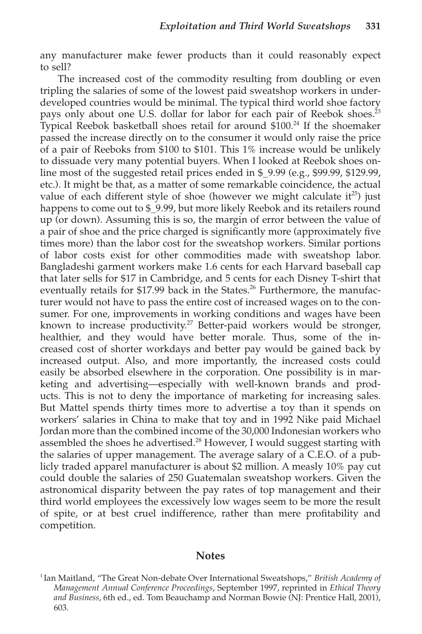any manufacturer make fewer products than it could reasonably expect to sell?

The increased cost of the commodity resulting from doubling or even tripling the salaries of some of the lowest paid sweatshop workers in underdeveloped countries would be minimal. The typical third world shoe factory pays only about one U.S. dollar for labor for each pair of Reebok shoes.<sup>23</sup> Typical Reebok basketball shoes retail for around  $$100.<sup>24</sup>$  If the shoemaker passed the increase directly on to the consumer it would only raise the price of a pair of Reeboks from \$100 to \$101. This 1% increase would be unlikely to dissuade very many potential buyers. When I looked at Reebok shoes online most of the suggested retail prices ended in \$\_9.99 (e.g., \$99.99, \$129.99, etc.). It might be that, as a matter of some remarkable coincidence, the actual value of each different style of shoe (however we might calculate it<sup>25</sup>) just happens to come out to \$\_9.99, but more likely Reebok and its retailers round up (or down). Assuming this is so, the margin of error between the value of a pair of shoe and the price charged is significantly more (approximately five times more) than the labor cost for the sweatshop workers. Similar portions of labor costs exist for other commodities made with sweatshop labor. Bangladeshi garment workers make 1.6 cents for each Harvard baseball cap that later sells for \$17 in Cambridge, and 5 cents for each Disney T-shirt that eventually retails for \$17.99 back in the States.<sup>26</sup> Furthermore, the manufacturer would not have to pass the entire cost of increased wages on to the consumer. For one, improvements in working conditions and wages have been known to increase productivity.<sup>27</sup> Better-paid workers would be stronger, healthier, and they would have better morale. Thus, some of the increased cost of shorter workdays and better pay would be gained back by increased output. Also, and more importantly, the increased costs could easily be absorbed elsewhere in the corporation. One possibility is in marketing and advertising—especially with well-known brands and products. This is not to deny the importance of marketing for increasing sales. But Mattel spends thirty times more to advertise a toy than it spends on workers' salaries in China to make that toy and in 1992 Nike paid Michael Jordan more than the combined income of the 30,000 Indonesian workers who assembled the shoes he advertised.<sup>28</sup> However, I would suggest starting with the salaries of upper management. The average salary of a C.E.O. of a publicly traded apparel manufacturer is about \$2 million. A measly 10% pay cut could double the salaries of 250 Guatemalan sweatshop workers. Given the astronomical disparity between the pay rates of top management and their third world employees the excessively low wages seem to be more the result of spite, or at best cruel indifference, rather than mere profitability and competition.

#### **Notes**

<sup>1</sup> Ian Maitland, "The Great Non-debate Over International Sweatshops," *British Academy of Management Annual Conference Proceedings*, September 1997, reprinted in *Ethical Theory and Business*, 6th ed., ed. Tom Beauchamp and Norman Bowie (NJ: Prentice Hall, 2001), 603.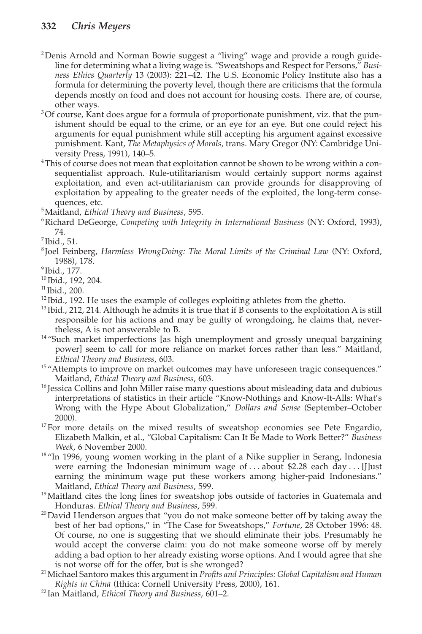- $2$ Denis Arnold and Norman Bowie suggest a "living" wage and provide a rough guideline for determining what a living wage is. "Sweatshops and Respect for Persons," *Business Ethics Quarterly* 13 (2003): 221–42. The U.S. Economic Policy Institute also has a formula for determining the poverty level, though there are criticisms that the formula depends mostly on food and does not account for housing costs. There are, of course, other ways.
- <sup>3</sup>Of course, Kant does argue for a formula of proportionate punishment, viz. that the punishment should be equal to the crime, or an eye for an eye. But one could reject his arguments for equal punishment while still accepting his argument against excessive punishment. Kant, *The Metaphysics of Morals*, trans. Mary Gregor (NY: Cambridge University Press, 1991), 140–5.
- 4This of course does not mean that exploitation cannot be shown to be wrong within a consequentialist approach. Rule-utilitarianism would certainly support norms against exploitation, and even act-utilitarianism can provide grounds for disapproving of exploitation by appealing to the greater needs of the exploited, the long-term consequences, etc.
- 5Maitland, *Ethical Theory and Business*, 595.
- 6Richard DeGeorge, *Competing with Integrity in International Business* (NY: Oxford, 1993), 74.
- $<sup>7</sup>$  Ibid., 51.</sup>
- <sup>8</sup> Joel Feinberg, *Harmless WrongDoing: The Moral Limits of the Criminal Law* (NY: Oxford, 1988), 178.
- <sup>9</sup> Ibid., 177.
- <sup>10</sup> Ibid., 192, 204.
- $11$  Ibid., 200.
- $12$  Ibid., 192. He uses the example of colleges exploiting athletes from the ghetto.
- $13$  Ibid., 212, 214. Although he admits it is true that if B consents to the exploitation A is still responsible for his actions and may be guilty of wrongdoing, he claims that, nevertheless, A is not answerable to B.
- <sup>14</sup> "Such market imperfections [as high unemployment and grossly unequal bargaining power] seem to call for more reliance on market forces rather than less." Maitland, *Ethical Theory and Business*, 603.
- <sup>15</sup> "Attempts to improve on market outcomes may have unforeseen tragic consequences." Maitland, *Ethical Theory and Business*, 603.
- <sup>16</sup> Jessica Collins and John Miller raise many questions about misleading data and dubious interpretations of statistics in their article "Know-Nothings and Know-It-Alls: What's Wrong with the Hype About Globalization," *Dollars and Sense* (September–October 2000).
- $17$  For more details on the mixed results of sweatshop economies see Pete Engardio, Elizabeth Malkin, et al., "Global Capitalism: Can It Be Made to Work Better?" *Business Week*, 6 November 2000.
- <sup>18</sup> "In 1996, young women working in the plant of a Nike supplier in Serang, Indonesia were earning the Indonesian minimum wage of... about \$2.28 each day... [J]ust earning the minimum wage put these workers among higher-paid Indonesians." Maitland, *Ethical Theory and Business*, 599.
- $19$ Maitland cites the long lines for sweatshop jobs outside of factories in Guatemala and Honduras. *Ethical Theory and Business*, 599.
- <sup>20</sup> David Henderson argues that "you do not make someone better off by taking away the best of her bad options," in "The Case for Sweatshops," *Fortune*, 28 October 1996: 48. Of course, no one is suggesting that we should eliminate their jobs. Presumably he would accept the converse claim: you do not make someone worse off by merely adding a bad option to her already existing worse options. And I would agree that she is not worse off for the offer, but is she wronged?
- 21Michael Santoro makes this argument in *Profits and Principles: Global Capitalism and Human Rights in China* (Ithica: Cornell University Press, 2000), 161.
- <sup>22</sup> Ian Maitland, *Ethical Theory and Business*, 601–2.